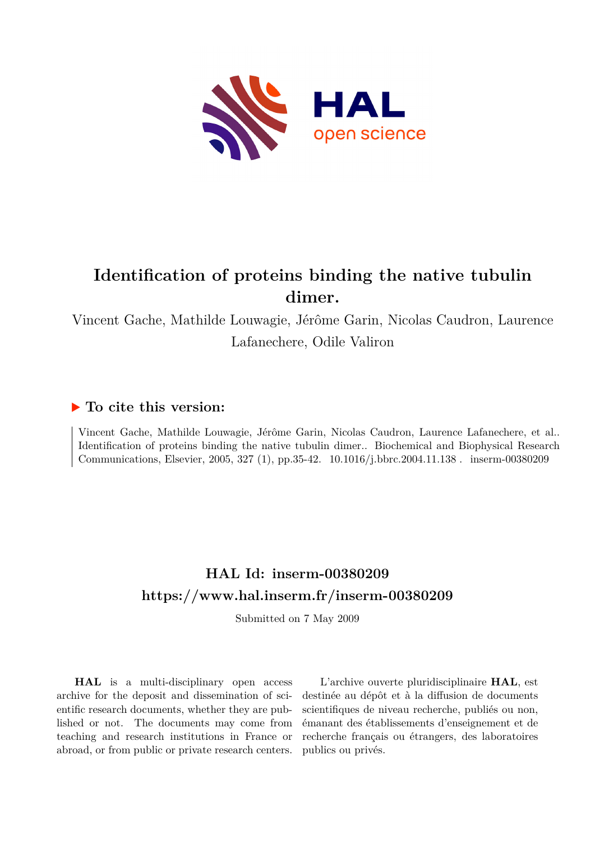

## **Identification of proteins binding the native tubulin dimer.**

Vincent Gache, Mathilde Louwagie, Jérôme Garin, Nicolas Caudron, Laurence Lafanechere, Odile Valiron

### **To cite this version:**

Vincent Gache, Mathilde Louwagie, Jérôme Garin, Nicolas Caudron, Laurence Lafanechere, et al.. Identification of proteins binding the native tubulin dimer.. Biochemical and Biophysical Research Communications, Elsevier, 2005, 327 (1), pp.35-42.  $10.1016/j.bbrc.2004.11.138$ . inserm-00380209

### **HAL Id: inserm-00380209 <https://www.hal.inserm.fr/inserm-00380209>**

Submitted on 7 May 2009

**HAL** is a multi-disciplinary open access archive for the deposit and dissemination of scientific research documents, whether they are published or not. The documents may come from teaching and research institutions in France or abroad, or from public or private research centers.

L'archive ouverte pluridisciplinaire **HAL**, est destinée au dépôt et à la diffusion de documents scientifiques de niveau recherche, publiés ou non, émanant des établissements d'enseignement et de recherche français ou étrangers, des laboratoires publics ou privés.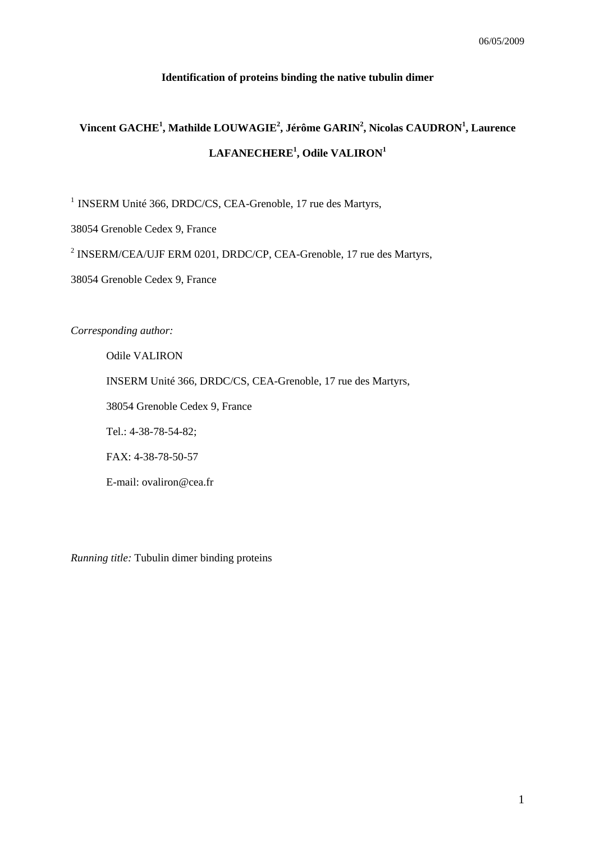#### **Identification of proteins binding the native tubulin dimer**

## **Vincent GACHE1 , Mathilde LOUWAGIE2 , Jérôme GARIN2 , Nicolas CAUDRON<sup>1</sup> , Laurence LAFANECHERE<sup>1</sup> , Odile VALIRON<sup>1</sup>**

<sup>1</sup> INSERM Unité 366, DRDC/CS, CEA-Grenoble, 17 rue des Martyrs,

38054 Grenoble Cedex 9, France

<sup>2</sup> INSERM/CEA/UJF ERM 0201, DRDC/CP, CEA-Grenoble, 17 rue des Martyrs,

38054 Grenoble Cedex 9, France

*Corresponding author:* 

Odile VALIRON INSERM Unité 366, DRDC/CS, CEA-Grenoble, 17 rue des Martyrs, 38054 Grenoble Cedex 9, France Tel.: 4-38-78-54-82; FAX: 4-38-78-50-57 E-mail: ovaliron@cea.fr

*Running title:* Tubulin dimer binding proteins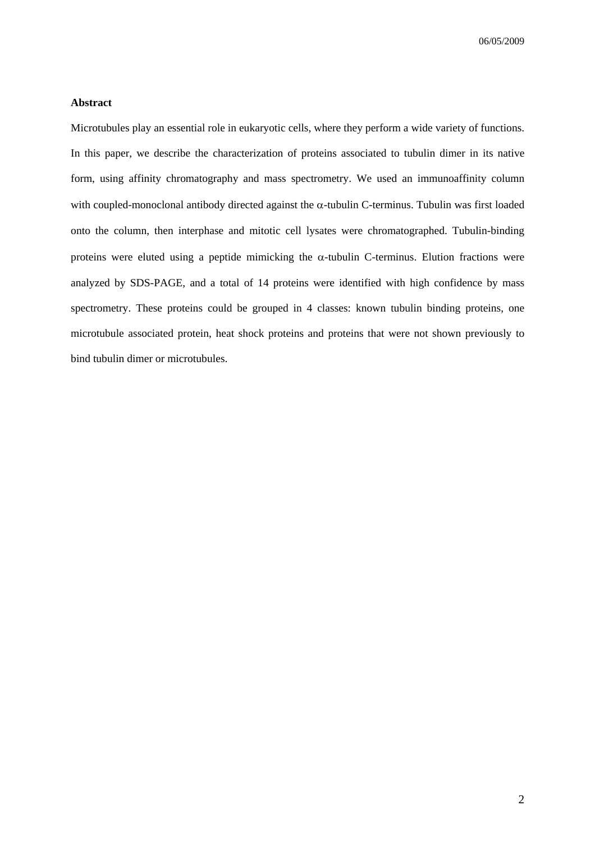#### **Abstract**

Microtubules play an essential role in eukaryotic cells, where they perform a wide variety of functions. In this paper, we describe the characterization of proteins associated to tubulin dimer in its native form, using affinity chromatography and mass spectrometry. We used an immunoaffinity column with coupled-monoclonal antibody directed against the α-tubulin C-terminus. Tubulin was first loaded onto the column, then interphase and mitotic cell lysates were chromatographed. Tubulin-binding proteins were eluted using a peptide mimicking the  $\alpha$ -tubulin C-terminus. Elution fractions were analyzed by SDS-PAGE, and a total of 14 proteins were identified with high confidence by mass spectrometry. These proteins could be grouped in 4 classes: known tubulin binding proteins, one microtubule associated protein, heat shock proteins and proteins that were not shown previously to bind tubulin dimer or microtubules.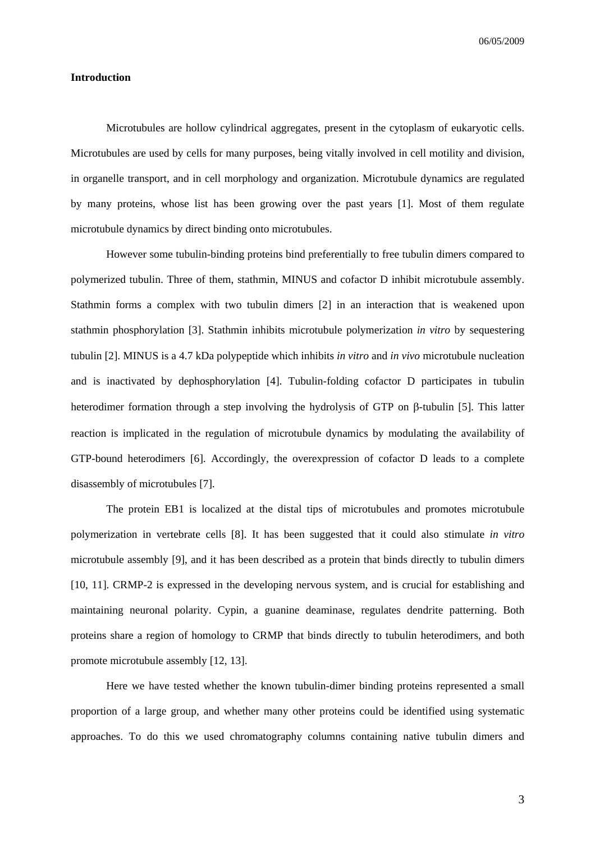#### **Introduction**

Microtubules are hollow cylindrical aggregates, present in the cytoplasm of eukaryotic cells. Microtubules are used by cells for many purposes, being vitally involved in cell motility and division, in organelle transport, and in cell morphology and organization. Microtubule dynamics are regulated by many proteins, whose list has been growing over the past years [1]. Most of them regulate microtubule dynamics by direct binding onto microtubules.

However some tubulin-binding proteins bind preferentially to free tubulin dimers compared to polymerized tubulin. Three of them, stathmin, MINUS and cofactor D inhibit microtubule assembly. Stathmin forms a complex with two tubulin dimers [2] in an interaction that is weakened upon stathmin phosphorylation [3]. Stathmin inhibits microtubule polymerization *in vitro* by sequestering tubulin [2]. MINUS is a 4.7 kDa polypeptide which inhibits *in vitro* and *in vivo* microtubule nucleation and is inactivated by dephosphorylation [4]. Tubulin-folding cofactor D participates in tubulin heterodimer formation through a step involving the hydrolysis of GTP on β-tubulin [5]. This latter reaction is implicated in the regulation of microtubule dynamics by modulating the availability of GTP-bound heterodimers [6]. Accordingly, the overexpression of cofactor D leads to a complete disassembly of microtubules [7].

The protein EB1 is localized at the distal tips of microtubules and promotes microtubule polymerization in vertebrate cells [8]. It has been suggested that it could also stimulate *in vitro* microtubule assembly [9], and it has been described as a protein that binds directly to tubulin dimers [10, 11]. CRMP-2 is expressed in the developing nervous system, and is crucial for establishing and maintaining neuronal polarity. Cypin, a guanine deaminase, regulates dendrite patterning. Both proteins share a region of homology to CRMP that binds directly to tubulin heterodimers, and both promote microtubule assembly [12, 13].

Here we have tested whether the known tubulin-dimer binding proteins represented a small proportion of a large group, and whether many other proteins could be identified using systematic approaches. To do this we used chromatography columns containing native tubulin dimers and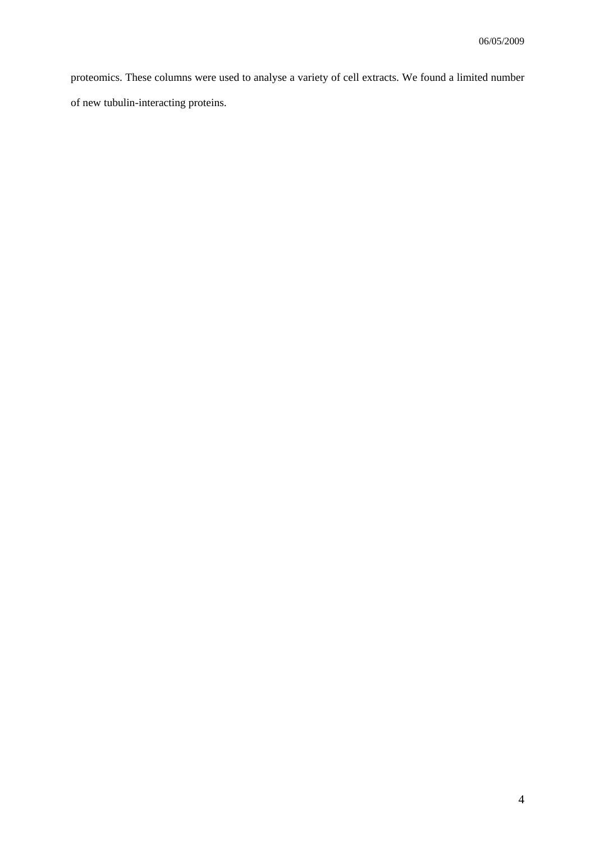proteomics. These columns were used to analyse a variety of cell extracts. We found a limited number of new tubulin-interacting proteins.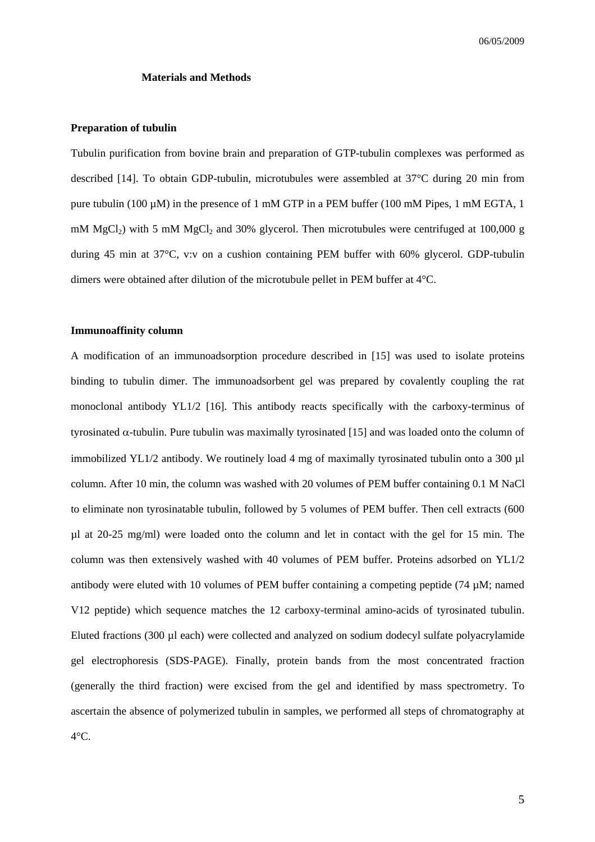#### **Materials and Methods**

#### **Preparation of tubulin**

Tubulin purification from bovine brain and preparation of GTP-tubulin complexes was performed as described [14]. To obtain GDP-tubulin, microtubules were assembled at 37°C during 20 min from pure tubulin (100  $\mu$ M) in the presence of 1 mM GTP in a PEM buffer (100 mM Pipes, 1 mM EGTA, 1 mM  $MgCl<sub>2</sub>$ ) with 5 mM  $MgCl<sub>2</sub>$  and 30% glycerol. Then microtubules were centrifuged at 100,000 g during 45 min at 37°C, v:v on a cushion containing PEM buffer with 60% glycerol. GDP-tubulin dimers were obtained after dilution of the microtubule pellet in PEM buffer at 4°C.

#### **Immunoaffinity column**

A modification of an immunoadsorption procedure described in [15] was used to isolate proteins binding to tubulin dimer. The immunoadsorbent gel was prepared by covalently coupling the rat monoclonal antibody YL1/2 [16]. This antibody reacts specifically with the carboxy-terminus of tyrosinated α-tubulin. Pure tubulin was maximally tyrosinated [15] and was loaded onto the column of immobilized YL1/2 antibody. We routinely load 4 mg of maximally tyrosinated tubulin onto a 300 ul column. After 10 min, the column was washed with 20 volumes of PEM buffer containing 0.1 M NaCl to eliminate non tyrosinatable tubulin, followed by 5 volumes of PEM buffer. Then cell extracts (600  $\mu$ l at 20-25 mg/ml) were loaded onto the column and let in contact with the gel for 15 min. The column was then extensively washed with 40 volumes of PEM buffer. Proteins adsorbed on YL1/2 antibody were eluted with 10 volumes of PEM buffer containing a competing peptide (74 µM; named V12 peptide) which sequence matches the 12 carboxy-terminal amino-acids of tyrosinated tubulin. Eluted fractions (300 µl each) were collected and analyzed on sodium dodecyl sulfate polyacrylamide gel electrophoresis (SDS-PAGE). Finally, protein bands from the most concentrated fraction (generally the third fraction) were excised from the gel and identified by mass spectrometry. To ascertain the absence of polymerized tubulin in samples, we performed all steps of chromatography at  $4^{\circ}$ C.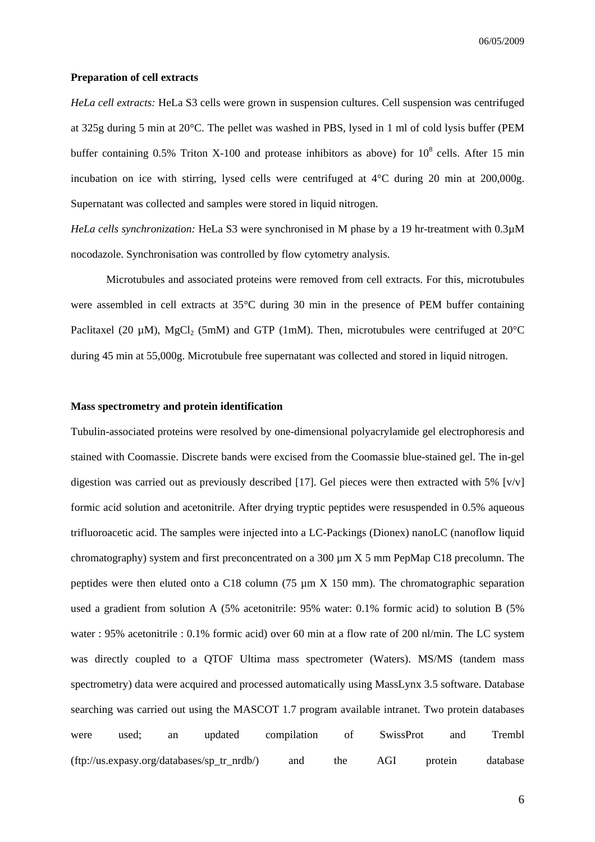#### **Preparation of cell extracts**

*HeLa cell extracts:* HeLa S3 cells were grown in suspension cultures. Cell suspension was centrifuged at 325g during 5 min at 20°C. The pellet was washed in PBS, lysed in 1 ml of cold lysis buffer (PEM buffer containing 0.5% Triton X-100 and protease inhibitors as above) for  $10^8$  cells. After 15 min incubation on ice with stirring, lysed cells were centrifuged at 4°C during 20 min at 200,000g. Supernatant was collected and samples were stored in liquid nitrogen.

*HeLa cells synchronization:* HeLa S3 were synchronised in M phase by a 19 hr-treatment with 0.3µM nocodazole. Synchronisation was controlled by flow cytometry analysis.

Microtubules and associated proteins were removed from cell extracts. For this, microtubules were assembled in cell extracts at 35°C during 30 min in the presence of PEM buffer containing Paclitaxel (20  $\mu$ M), MgCl<sub>2</sub> (5mM) and GTP (1mM). Then, microtubules were centrifuged at 20<sup>o</sup>C during 45 min at 55,000g. Microtubule free supernatant was collected and stored in liquid nitrogen.

#### **Mass spectrometry and protein identification**

Tubulin-associated proteins were resolved by one-dimensional polyacrylamide gel electrophoresis and stained with Coomassie. Discrete bands were excised from the Coomassie blue-stained gel. The in-gel digestion was carried out as previously described [17]. Gel pieces were then extracted with 5%  $[v/v]$ formic acid solution and acetonitrile. After drying tryptic peptides were resuspended in 0.5% aqueous trifluoroacetic acid. The samples were injected into a LC-Packings (Dionex) nanoLC (nanoflow liquid chromatography) system and first preconcentrated on a 300 µm X 5 mm PepMap C18 precolumn. The peptides were then eluted onto a C18 column (75  $\mu$ m X 150 mm). The chromatographic separation used a gradient from solution A (5% acetonitrile: 95% water: 0.1% formic acid) to solution B (5% water : 95% acetonitrile : 0.1% formic acid) over 60 min at a flow rate of 200 nl/min. The LC system was directly coupled to a QTOF Ultima mass spectrometer (Waters). MS/MS (tandem mass spectrometry) data were acquired and processed automatically using MassLynx 3.5 software. Database searching was carried out using the MASCOT 1.7 program available intranet. Two protein databases were used; an updated compilation of SwissProt and Trembl (ftp://us.expasy.org/databases/sp\_tr\_nrdb/) and the AGI protein database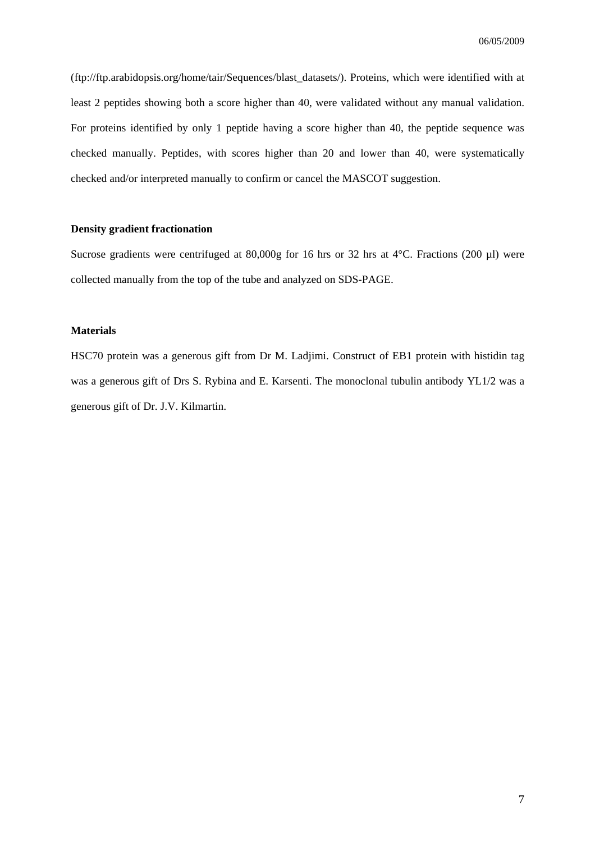(ftp://ftp.arabidopsis.org/home/tair/Sequences/blast\_datasets/). Proteins, which were identified with at least 2 peptides showing both a score higher than 40, were validated without any manual validation. For proteins identified by only 1 peptide having a score higher than 40, the peptide sequence was checked manually. Peptides, with scores higher than 20 and lower than 40, were systematically checked and/or interpreted manually to confirm or cancel the MASCOT suggestion.

#### **Density gradient fractionation**

Sucrose gradients were centrifuged at 80,000g for 16 hrs or 32 hrs at 4°C. Fractions (200 µl) were collected manually from the top of the tube and analyzed on SDS-PAGE.

#### **Materials**

HSC70 protein was a generous gift from Dr M. Ladjimi. Construct of EB1 protein with histidin tag was a generous gift of Drs S. Rybina and E. Karsenti. The monoclonal tubulin antibody YL1/2 was a generous gift of Dr. J.V. Kilmartin.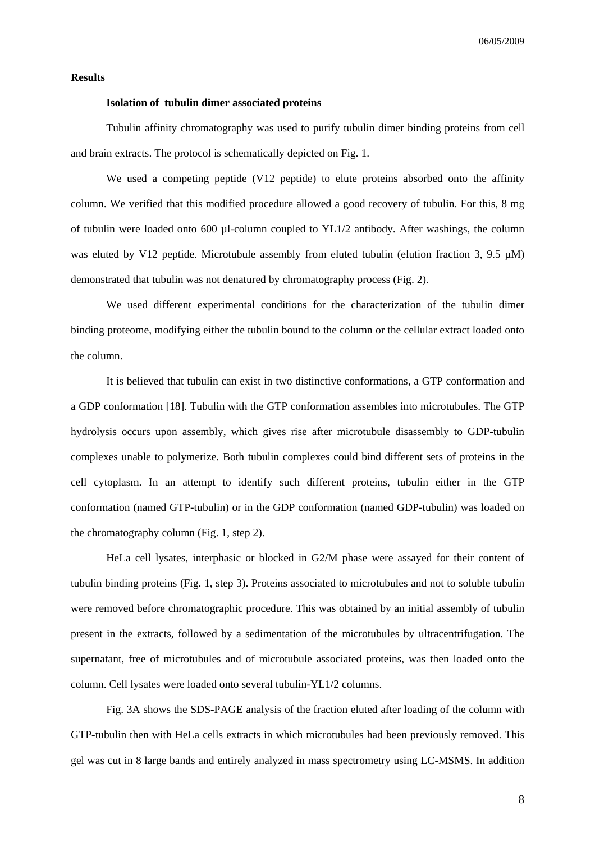#### **Results**

#### **Isolation of tubulin dimer associated proteins**

Tubulin affinity chromatography was used to purify tubulin dimer binding proteins from cell and brain extracts. The protocol is schematically depicted on Fig. 1.

We used a competing peptide (V12 peptide) to elute proteins absorbed onto the affinity column. We verified that this modified procedure allowed a good recovery of tubulin. For this, 8 mg of tubulin were loaded onto 600 µl-column coupled to YL1/2 antibody. After washings, the column was eluted by V12 peptide. Microtubule assembly from eluted tubulin (elution fraction 3, 9.5  $\mu$ M) demonstrated that tubulin was not denatured by chromatography process (Fig. 2).

We used different experimental conditions for the characterization of the tubulin dimer binding proteome, modifying either the tubulin bound to the column or the cellular extract loaded onto the column.

It is believed that tubulin can exist in two distinctive conformations, a GTP conformation and a GDP conformation [18]. Tubulin with the GTP conformation assembles into microtubules. The GTP hydrolysis occurs upon assembly, which gives rise after microtubule disassembly to GDP-tubulin complexes unable to polymerize. Both tubulin complexes could bind different sets of proteins in the cell cytoplasm. In an attempt to identify such different proteins, tubulin either in the GTP conformation (named GTP-tubulin) or in the GDP conformation (named GDP-tubulin) was loaded on the chromatography column (Fig. 1, step 2).

HeLa cell lysates, interphasic or blocked in G2/M phase were assayed for their content of tubulin binding proteins (Fig. 1, step 3). Proteins associated to microtubules and not to soluble tubulin were removed before chromatographic procedure. This was obtained by an initial assembly of tubulin present in the extracts, followed by a sedimentation of the microtubules by ultracentrifugation. The supernatant, free of microtubules and of microtubule associated proteins, was then loaded onto the column. Cell lysates were loaded onto several tubulin-YL1/2 columns.

Fig. 3A shows the SDS-PAGE analysis of the fraction eluted after loading of the column with GTP-tubulin then with HeLa cells extracts in which microtubules had been previously removed. This gel was cut in 8 large bands and entirely analyzed in mass spectrometry using LC-MSMS. In addition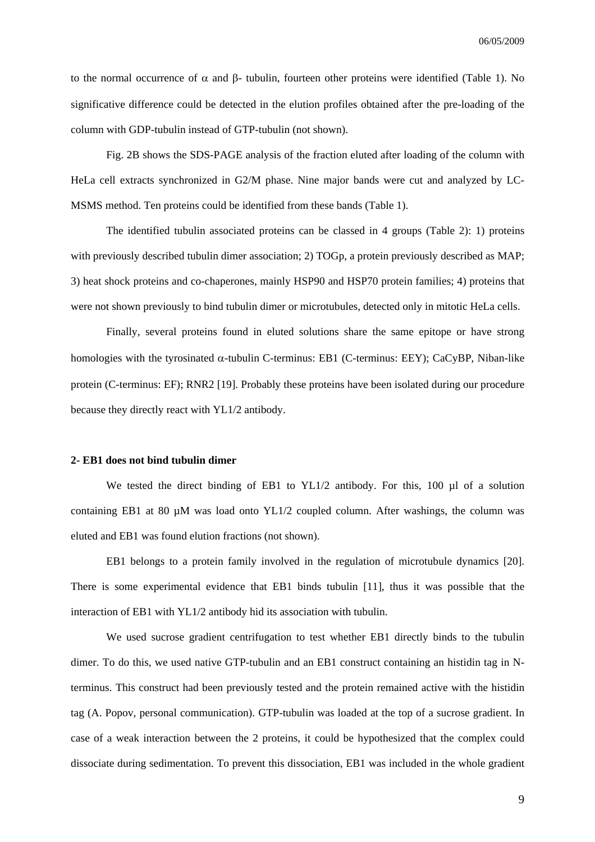to the normal occurrence of  $\alpha$  and  $\beta$ - tubulin, fourteen other proteins were identified (Table 1). No significative difference could be detected in the elution profiles obtained after the pre-loading of the column with GDP-tubulin instead of GTP-tubulin (not shown).

Fig. 2B shows the SDS-PAGE analysis of the fraction eluted after loading of the column with HeLa cell extracts synchronized in G2/M phase. Nine major bands were cut and analyzed by LC-MSMS method. Ten proteins could be identified from these bands (Table 1).

 The identified tubulin associated proteins can be classed in 4 groups (Table 2): 1) proteins with previously described tubulin dimer association; 2) TOGp, a protein previously described as MAP; 3) heat shock proteins and co-chaperones, mainly HSP90 and HSP70 protein families; 4) proteins that were not shown previously to bind tubulin dimer or microtubules, detected only in mitotic HeLa cells.

Finally, several proteins found in eluted solutions share the same epitope or have strong homologies with the tyrosinated  $\alpha$ -tubulin C-terminus: EB1 (C-terminus: EEY); CaCyBP, Niban-like protein (C-terminus: EF); RNR2 [19]. Probably these proteins have been isolated during our procedure because they directly react with YL1/2 antibody.

#### **2- EB1 does not bind tubulin dimer**

We tested the direct binding of EB1 to  $YL1/2$  antibody. For this, 100 µl of a solution containing EB1 at 80 µM was load onto YL1/2 coupled column. After washings, the column was eluted and EB1 was found elution fractions (not shown).

EB1 belongs to a protein family involved in the regulation of microtubule dynamics [20]. There is some experimental evidence that EB1 binds tubulin [11], thus it was possible that the interaction of EB1 with YL1/2 antibody hid its association with tubulin.

We used sucrose gradient centrifugation to test whether EB1 directly binds to the tubulin dimer. To do this, we used native GTP-tubulin and an EB1 construct containing an histidin tag in Nterminus. This construct had been previously tested and the protein remained active with the histidin tag (A. Popov, personal communication). GTP-tubulin was loaded at the top of a sucrose gradient. In case of a weak interaction between the 2 proteins, it could be hypothesized that the complex could dissociate during sedimentation. To prevent this dissociation, EB1 was included in the whole gradient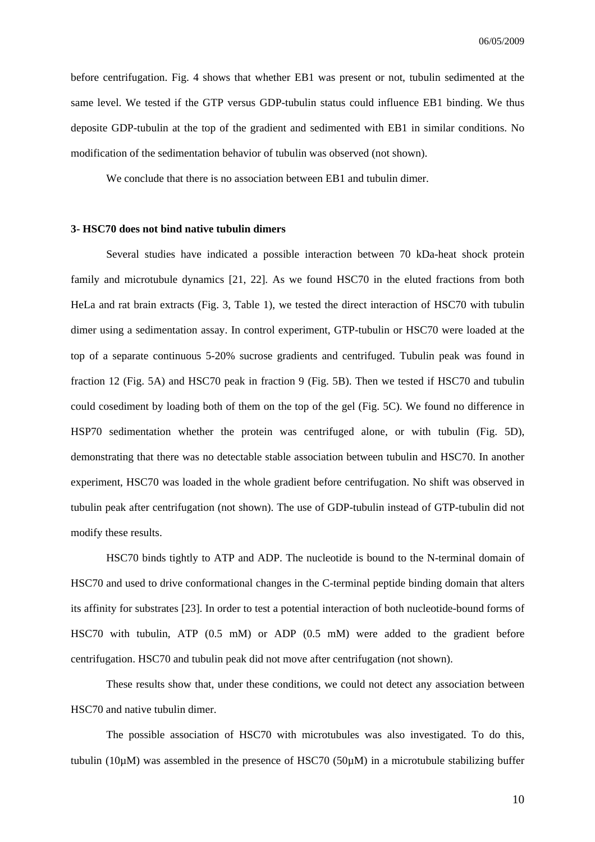before centrifugation. Fig. 4 shows that whether EB1 was present or not, tubulin sedimented at the same level. We tested if the GTP versus GDP-tubulin status could influence EB1 binding. We thus deposite GDP-tubulin at the top of the gradient and sedimented with EB1 in similar conditions. No modification of the sedimentation behavior of tubulin was observed (not shown).

We conclude that there is no association between EB1 and tubulin dimer.

#### **3- HSC70 does not bind native tubulin dimers**

Several studies have indicated a possible interaction between 70 kDa-heat shock protein family and microtubule dynamics [21, 22]. As we found HSC70 in the eluted fractions from both HeLa and rat brain extracts (Fig. 3, Table 1), we tested the direct interaction of HSC70 with tubulin dimer using a sedimentation assay. In control experiment, GTP-tubulin or HSC70 were loaded at the top of a separate continuous 5-20% sucrose gradients and centrifuged. Tubulin peak was found in fraction 12 (Fig. 5A) and HSC70 peak in fraction 9 (Fig. 5B). Then we tested if HSC70 and tubulin could cosediment by loading both of them on the top of the gel (Fig. 5C). We found no difference in HSP70 sedimentation whether the protein was centrifuged alone, or with tubulin (Fig. 5D), demonstrating that there was no detectable stable association between tubulin and HSC70. In another experiment, HSC70 was loaded in the whole gradient before centrifugation. No shift was observed in tubulin peak after centrifugation (not shown). The use of GDP-tubulin instead of GTP-tubulin did not modify these results.

HSC70 binds tightly to ATP and ADP. The nucleotide is bound to the N-terminal domain of HSC70 and used to drive conformational changes in the C-terminal peptide binding domain that alters its affinity for substrates [23]. In order to test a potential interaction of both nucleotide-bound forms of HSC70 with tubulin, ATP (0.5 mM) or ADP (0.5 mM) were added to the gradient before centrifugation. HSC70 and tubulin peak did not move after centrifugation (not shown).

These results show that, under these conditions, we could not detect any association between HSC70 and native tubulin dimer.

The possible association of HSC70 with microtubules was also investigated. To do this, tubulin (10 $\mu$ M) was assembled in the presence of HSC70 (50 $\mu$ M) in a microtubule stabilizing buffer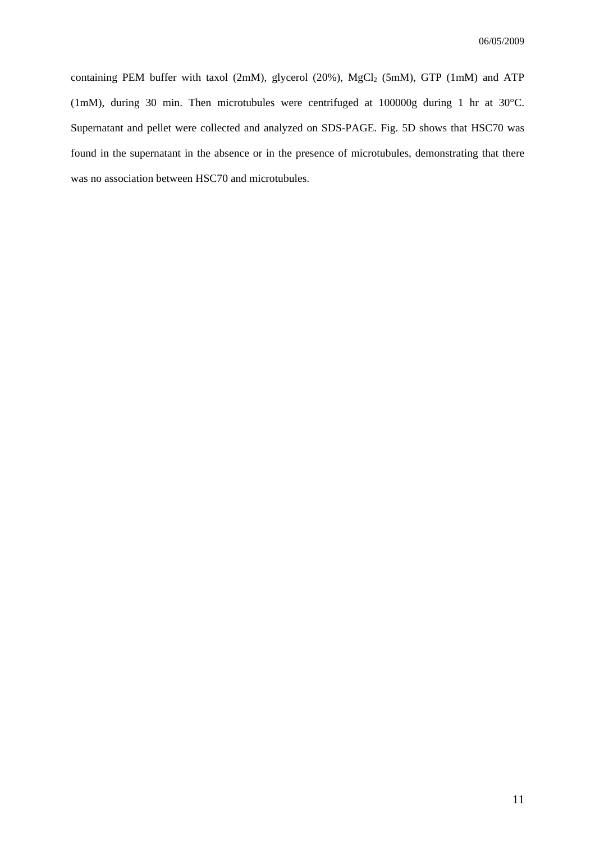containing PEM buffer with taxol (2mM), glycerol (20%),  $MgCl_2$  (5mM), GTP (1mM) and ATP (1mM), during 30 min. Then microtubules were centrifuged at 100000g during 1 hr at 30°C. Supernatant and pellet were collected and analyzed on SDS-PAGE. Fig. 5D shows that HSC70 was found in the supernatant in the absence or in the presence of microtubules, demonstrating that there was no association between HSC70 and microtubules.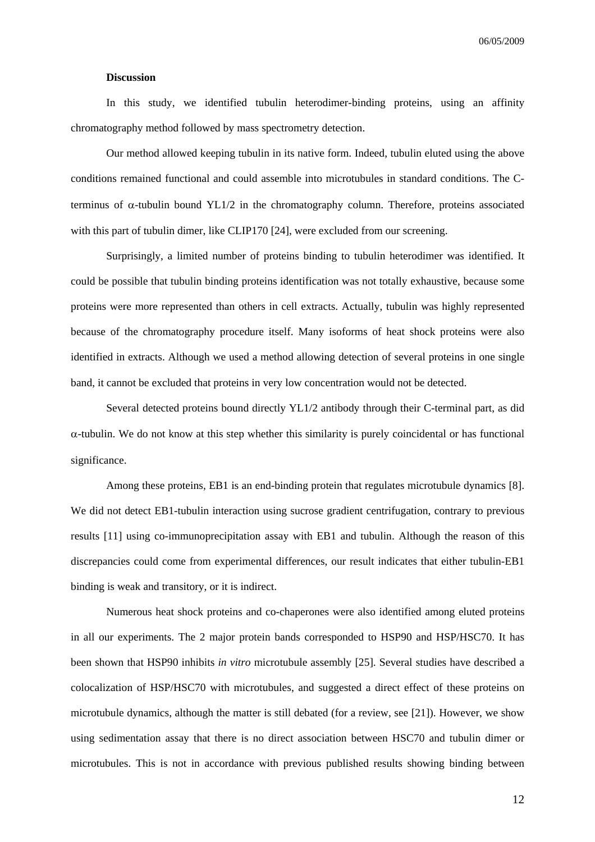#### **Discussion**

In this study, we identified tubulin heterodimer-binding proteins, using an affinity chromatography method followed by mass spectrometry detection.

Our method allowed keeping tubulin in its native form. Indeed, tubulin eluted using the above conditions remained functional and could assemble into microtubules in standard conditions. The Cterminus of α-tubulin bound YL1/2 in the chromatography column. Therefore, proteins associated with this part of tubulin dimer, like CLIP170 [24], were excluded from our screening.

Surprisingly, a limited number of proteins binding to tubulin heterodimer was identified. It could be possible that tubulin binding proteins identification was not totally exhaustive, because some proteins were more represented than others in cell extracts. Actually, tubulin was highly represented because of the chromatography procedure itself. Many isoforms of heat shock proteins were also identified in extracts. Although we used a method allowing detection of several proteins in one single band, it cannot be excluded that proteins in very low concentration would not be detected.

Several detected proteins bound directly YL1/2 antibody through their C-terminal part, as did  $\alpha$ -tubulin. We do not know at this step whether this similarity is purely coincidental or has functional significance.

Among these proteins, EB1 is an end-binding protein that regulates microtubule dynamics [8]. We did not detect EB1-tubulin interaction using sucrose gradient centrifugation, contrary to previous results [11] using co-immunoprecipitation assay with EB1 and tubulin. Although the reason of this discrepancies could come from experimental differences, our result indicates that either tubulin-EB1 binding is weak and transitory, or it is indirect.

 Numerous heat shock proteins and co-chaperones were also identified among eluted proteins in all our experiments. The 2 major protein bands corresponded to HSP90 and HSP/HSC70. It has been shown that HSP90 inhibits *in vitro* microtubule assembly [25]. Several studies have described a colocalization of HSP/HSC70 with microtubules, and suggested a direct effect of these proteins on microtubule dynamics, although the matter is still debated (for a review, see [21]). However, we show using sedimentation assay that there is no direct association between HSC70 and tubulin dimer or microtubules. This is not in accordance with previous published results showing binding between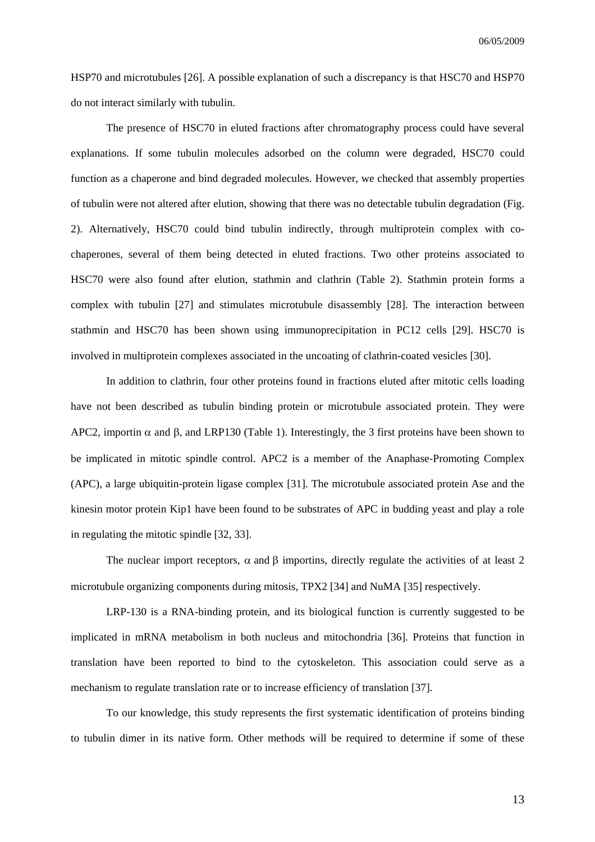HSP70 and microtubules [26]. A possible explanation of such a discrepancy is that HSC70 and HSP70 do not interact similarly with tubulin.

The presence of HSC70 in eluted fractions after chromatography process could have several explanations. If some tubulin molecules adsorbed on the column were degraded, HSC70 could function as a chaperone and bind degraded molecules. However, we checked that assembly properties of tubulin were not altered after elution, showing that there was no detectable tubulin degradation (Fig. 2). Alternatively, HSC70 could bind tubulin indirectly, through multiprotein complex with cochaperones, several of them being detected in eluted fractions. Two other proteins associated to HSC70 were also found after elution, stathmin and clathrin (Table 2). Stathmin protein forms a complex with tubulin [27] and stimulates microtubule disassembly [28]. The interaction between stathmin and HSC70 has been shown using immunoprecipitation in PC12 cells [29]. HSC70 is involved in multiprotein complexes associated in the uncoating of clathrin-coated vesicles [30].

In addition to clathrin, four other proteins found in fractions eluted after mitotic cells loading have not been described as tubulin binding protein or microtubule associated protein. They were APC2, importin  $\alpha$  and  $\beta$ , and LRP130 (Table 1). Interestingly, the 3 first proteins have been shown to be implicated in mitotic spindle control. APC2 is a member of the Anaphase-Promoting Complex (APC), a large ubiquitin-protein ligase complex [31]. The microtubule associated protein Ase and the kinesin motor protein Kip1 have been found to be substrates of APC in budding yeast and play a role in regulating the mitotic spindle [32, 33].

The nuclear import receptors,  $\alpha$  and  $\beta$  importins, directly regulate the activities of at least 2 microtubule organizing components during mitosis, TPX2 [34] and NuMA [35] respectively.

LRP-130 is a RNA-binding protein, and its biological function is currently suggested to be implicated in mRNA metabolism in both nucleus and mitochondria [36]. Proteins that function in translation have been reported to bind to the cytoskeleton. This association could serve as a mechanism to regulate translation rate or to increase efficiency of translation [37].

To our knowledge, this study represents the first systematic identification of proteins binding to tubulin dimer in its native form. Other methods will be required to determine if some of these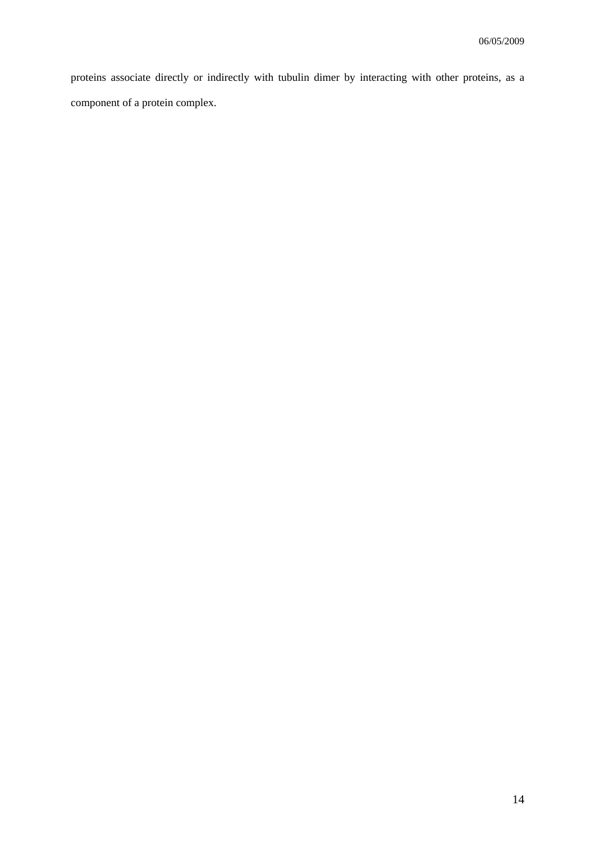proteins associate directly or indirectly with tubulin dimer by interacting with other proteins, as a component of a protein complex.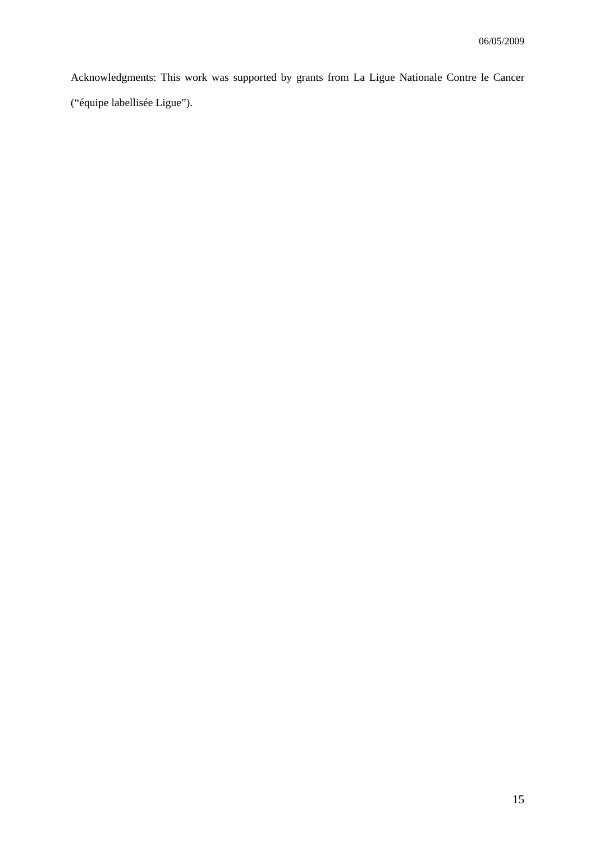Acknowledgments: This work was supported by grants from La Ligue Nationale Contre le Cancer ("équipe labellisée Ligue").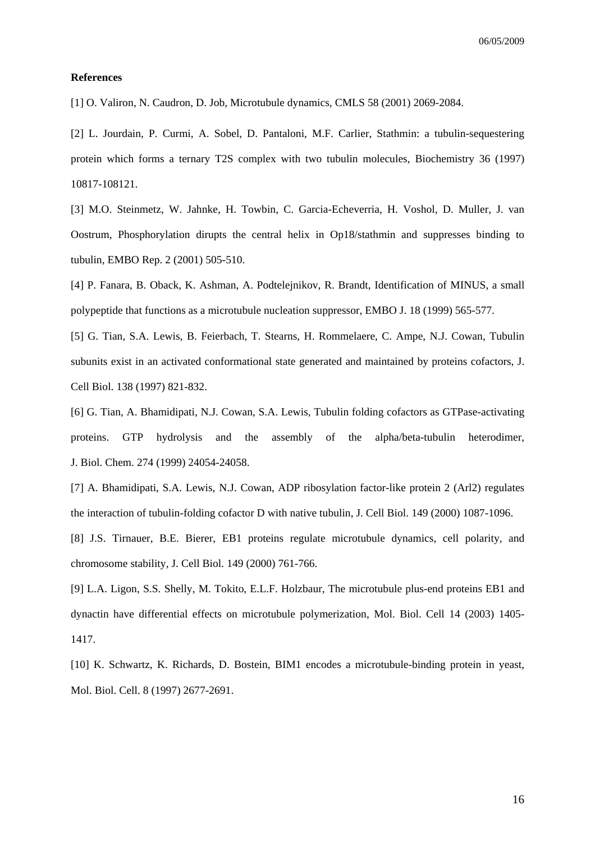#### **References**

[1] O. Valiron, N. Caudron, D. Job, Microtubule dynamics, CMLS 58 (2001) 2069-2084.

[2] L. Jourdain, P. Curmi, A. Sobel, D. Pantaloni, M.F. Carlier, Stathmin: a tubulin-sequestering protein which forms a ternary T2S complex with two tubulin molecules, Biochemistry 36 (1997) 10817-108121.

[3] M.O. Steinmetz, W. Jahnke, H. Towbin, C. Garcia-Echeverria, H. Voshol, D. Muller, J. van Oostrum, Phosphorylation dirupts the central helix in Op18/stathmin and suppresses binding to tubulin, EMBO Rep. 2 (2001) 505-510.

[4] P. Fanara, B. Oback, K. Ashman, A. Podtelejnikov, R. Brandt, Identification of MINUS, a small polypeptide that functions as a microtubule nucleation suppressor, EMBO J. 18 (1999) 565-577.

[5] G. Tian, S.A. Lewis, B. Feierbach, T. Stearns, H. Rommelaere, C. Ampe, N.J. Cowan, Tubulin subunits exist in an activated conformational state generated and maintained by proteins cofactors, J. Cell Biol. 138 (1997) 821-832.

[6] G. Tian, A. Bhamidipati, N.J. Cowan, S.A. Lewis, Tubulin folding cofactors as GTPase-activating proteins. GTP hydrolysis and the assembly of the alpha/beta-tubulin heterodimer, J. Biol. Chem. 274 (1999) 24054-24058.

[7] A. Bhamidipati, S.A. Lewis, N.J. Cowan, ADP ribosylation factor-like protein 2 (Arl2) regulates the interaction of tubulin-folding cofactor D with native tubulin, J. Cell Biol. 149 (2000) 1087-1096.

[8] J.S. Tirnauer, B.E. Bierer, EB1 proteins regulate microtubule dynamics, cell polarity, and chromosome stability, J. Cell Biol. 149 (2000) 761-766.

[9] L.A. Ligon, S.S. Shelly, M. Tokito, E.L.F. Holzbaur, The microtubule plus-end proteins EB1 and dynactin have differential effects on microtubule polymerization, Mol. Biol. Cell 14 (2003) 1405- 1417.

[10] K. Schwartz, K. Richards, D. Bostein, BIM1 encodes a microtubule-binding protein in yeast, Mol. Biol. Cell. 8 (1997) 2677-2691.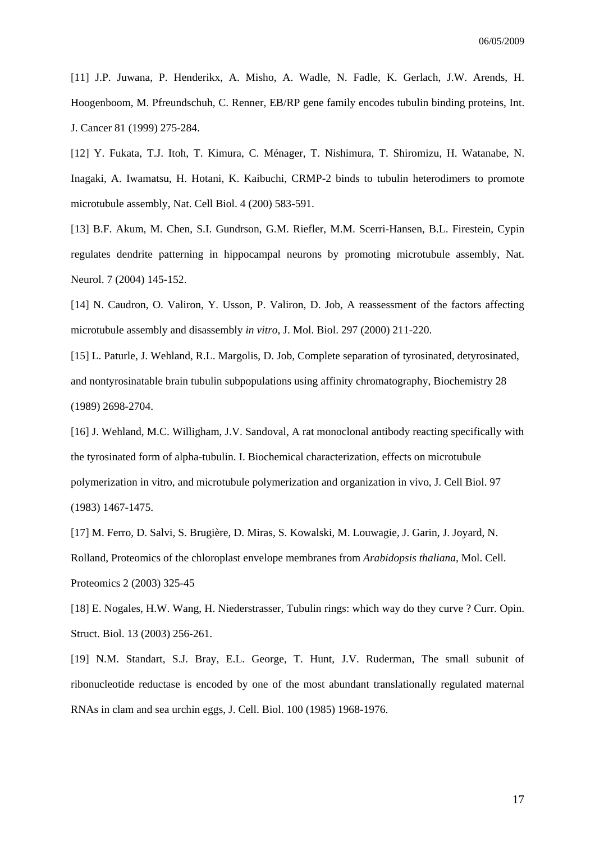[11] J.P. Juwana, P. Henderikx, A. Misho, A. Wadle, N. Fadle, K. Gerlach, J.W. Arends, H. Hoogenboom, M. Pfreundschuh, C. Renner, EB/RP gene family encodes tubulin binding proteins, Int. J. Cancer 81 (1999) 275-284.

[12] Y. Fukata, T.J. Itoh, T. Kimura, C. Ménager, T. Nishimura, T. Shiromizu, H. Watanabe, N. Inagaki, A. Iwamatsu, H. Hotani, K. Kaibuchi, CRMP-2 binds to tubulin heterodimers to promote microtubule assembly, Nat. Cell Biol. 4 (200) 583-591.

[13] B.F. Akum, M. Chen, S.I. Gundrson, G.M. Riefler, M.M. Scerri-Hansen, B.L. Firestein, Cypin regulates dendrite patterning in hippocampal neurons by promoting microtubule assembly, Nat. Neurol. 7 (2004) 145-152.

[14] N. Caudron, O. Valiron, Y. Usson, P. Valiron, D. Job, A reassessment of the factors affecting microtubule assembly and disassembly *in vitro*, J. Mol. Biol. 297 (2000) 211-220.

[15] L. Paturle, J. Wehland, R.L. Margolis, D. Job, Complete separation of tyrosinated, detyrosinated, and nontyrosinatable brain tubulin subpopulations using affinity chromatography, Biochemistry 28 (1989) 2698-2704.

[16] J. Wehland, M.C. Willigham, J.V. Sandoval, A rat monoclonal antibody reacting specifically with the tyrosinated form of alpha-tubulin. I. Biochemical characterization, effects on microtubule polymerization in vitro, and microtubule polymerization and organization in vivo, J. Cell Biol. 97 (1983) 1467-1475.

[17] M. Ferro, D. Salvi, S. Brugière, D. Miras, S. Kowalski, M. Louwagie, J. Garin, J. Joyard, N. Rolland, Proteomics of the chloroplast envelope membranes from *Arabidopsis thaliana*, Mol. Cell. Proteomics 2 (2003) 325-45

[18] E. Nogales, H.W. Wang, H. Niederstrasser, Tubulin rings: which way do they curve ? Curr. Opin. Struct. Biol. 13 (2003) 256-261.

[19] N.M. Standart, S.J. Bray, E.L. George, T. Hunt, J.V. Ruderman, The small subunit of ribonucleotide reductase is encoded by one of the most abundant translationally regulated maternal RNAs in clam and sea urchin eggs, J. Cell. Biol. 100 (1985) 1968-1976.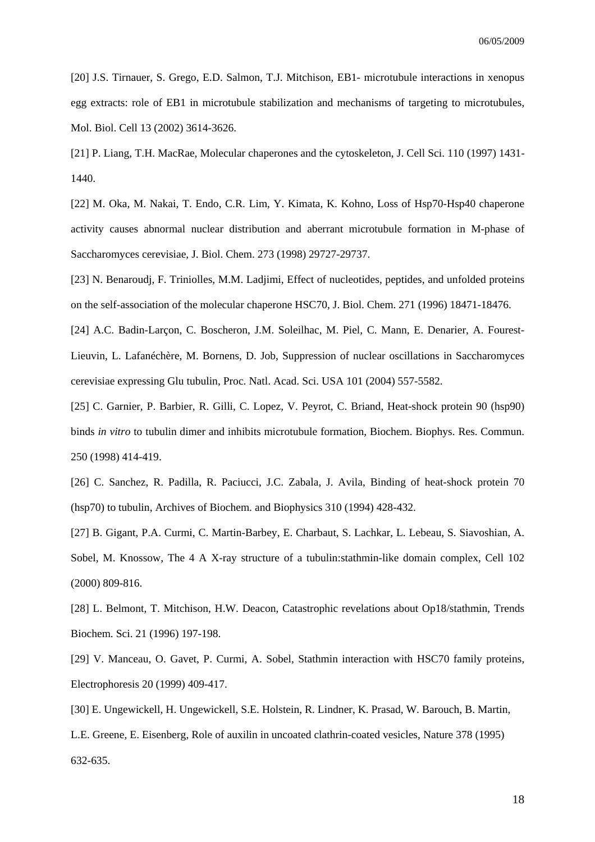[20] J.S. Tirnauer, S. Grego, E.D. Salmon, T.J. Mitchison, EB1- microtubule interactions in xenopus egg extracts: role of EB1 in microtubule stabilization and mechanisms of targeting to microtubules, Mol. Biol. Cell 13 (2002) 3614-3626.

[21] P. Liang, T.H. MacRae, Molecular chaperones and the cytoskeleton, J. Cell Sci. 110 (1997) 1431- 1440.

[22] M. Oka, M. Nakai, T. Endo, C.R. Lim, Y. Kimata, K. Kohno, Loss of Hsp70-Hsp40 chaperone activity causes abnormal nuclear distribution and aberrant microtubule formation in M-phase of Saccharomyces cerevisiae, J. Biol. Chem. 273 (1998) 29727-29737.

[23] N. Benaroudj, F. Triniolles, M.M. Ladjimi, Effect of nucleotides, peptides, and unfolded proteins on the self-association of the molecular chaperone HSC70, J. Biol. Chem. 271 (1996) 18471-18476.

[24] A.C. Badin-Larçon, C. Boscheron, J.M. Soleilhac, M. Piel, C. Mann, E. Denarier, A. Fourest-Lieuvin, L. Lafanéchère, M. Bornens, D. Job, Suppression of nuclear oscillations in Saccharomyces cerevisiae expressing Glu tubulin, Proc. Natl. Acad. Sci. USA 101 (2004) 557-5582.

[25] C. Garnier, P. Barbier, R. Gilli, C. Lopez, V. Peyrot, C. Briand, Heat-shock protein 90 (hsp90) binds *in vitro* to tubulin dimer and inhibits microtubule formation, Biochem. Biophys. Res. Commun. 250 (1998) 414-419.

[26] C. Sanchez, R. Padilla, R. Paciucci, J.C. Zabala, J. Avila, Binding of heat-shock protein 70 (hsp70) to tubulin, Archives of Biochem. and Biophysics 310 (1994) 428-432.

[27] B. Gigant, P.A. Curmi, C. Martin-Barbey, E. Charbaut, S. Lachkar, L. Lebeau, S. Siavoshian, A. Sobel, M. Knossow, The 4 A X-ray structure of a tubulin:stathmin-like domain complex, Cell 102 (2000) 809-816.

[28] L. Belmont, T. Mitchison, H.W. Deacon, Catastrophic revelations about Op18/stathmin, Trends Biochem. Sci. 21 (1996) 197-198.

[29] V. Manceau, O. Gavet, P. Curmi, A. Sobel, Stathmin interaction with HSC70 family proteins, Electrophoresis 20 (1999) 409-417.

[30] E. Ungewickell, H. Ungewickell, S.E. Holstein, R. Lindner, K. Prasad, W. Barouch, B. Martin,

L.E. Greene, E. Eisenberg, Role of auxilin in uncoated clathrin-coated vesicles, Nature 378 (1995) 632-635.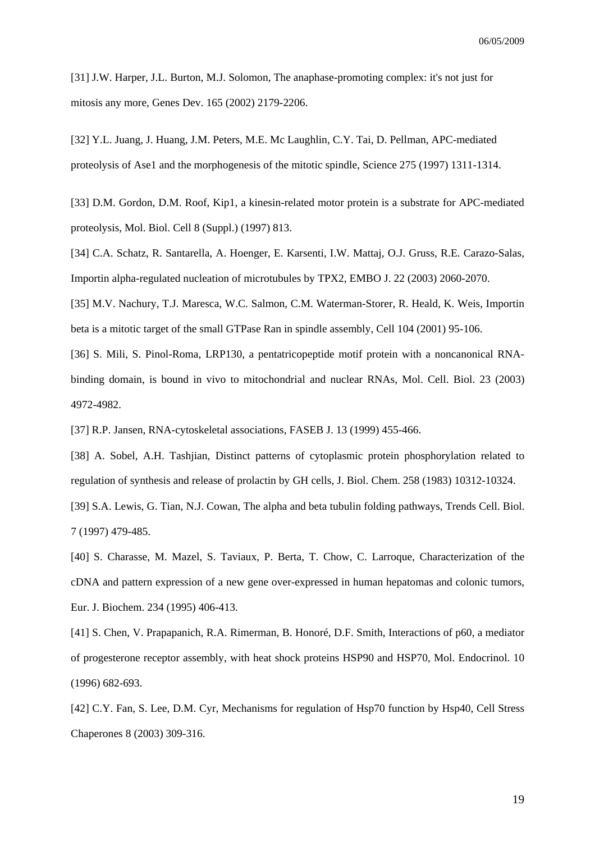[31] J.W. Harper, J.L. Burton, M.J. Solomon, The anaphase-promoting complex: it's not just for mitosis any more, Genes Dev. 165 (2002) 2179-2206.

[32] Y.L. Juang, J. Huang, J.M. Peters, M.E. Mc Laughlin, C.Y. Tai, D. Pellman, APC-mediated proteolysis of Ase1 and the morphogenesis of the mitotic spindle, Science 275 (1997) 1311-1314.

[33] D.M. Gordon, D.M. Roof, Kip1, a kinesin-related motor protein is a substrate for APC-mediated proteolysis, Mol. Biol. Cell 8 (Suppl.) (1997) 813.

[34] C.A. Schatz, R. Santarella, A. Hoenger, E. Karsenti, I.W. Mattaj, O.J. Gruss, R.E. Carazo-Salas, Importin alpha-regulated nucleation of microtubules by TPX2, EMBO J. 22 (2003) 2060-2070.

[35] M.V. Nachury, T.J. Maresca, W.C. Salmon, C.M. Waterman-Storer, R. Heald, K. Weis, Importin beta is a mitotic target of the small GTPase Ran in spindle assembly, Cell 104 (2001) 95-106.

[36] S. Mili, S. Pinol-Roma, LRP130, a pentatricopeptide motif protein with a noncanonical RNAbinding domain, is bound in vivo to mitochondrial and nuclear RNAs, Mol. Cell. Biol. 23 (2003) 4972-4982.

[37] R.P. Jansen, RNA-cytoskeletal associations, FASEB J. 13 (1999) 455-466.

[38] A. Sobel, A.H. Tashjian, Distinct patterns of cytoplasmic protein phosphorylation related to regulation of synthesis and release of prolactin by GH cells, J. Biol. Chem. 258 (1983) 10312-10324.

[39] S.A. Lewis, G. Tian, N.J. Cowan, The alpha and beta tubulin folding pathways, Trends Cell. Biol. 7 (1997) 479-485.

[40] S. Charasse, M. Mazel, S. Taviaux, P. Berta, T. Chow, C. Larroque, Characterization of the cDNA and pattern expression of a new gene over-expressed in human hepatomas and colonic tumors, Eur. J. Biochem. 234 (1995) 406-413.

[41] S. Chen, V. Prapapanich, R.A. Rimerman, B. Honoré, D.F. Smith, Interactions of p60, a mediator of progesterone receptor assembly, with heat shock proteins HSP90 and HSP70, Mol. Endocrinol. 10 (1996) 682-693.

[42] C.Y. Fan, S. Lee, D.M. Cyr, Mechanisms for regulation of Hsp70 function by Hsp40, Cell Stress Chaperones 8 (2003) 309-316.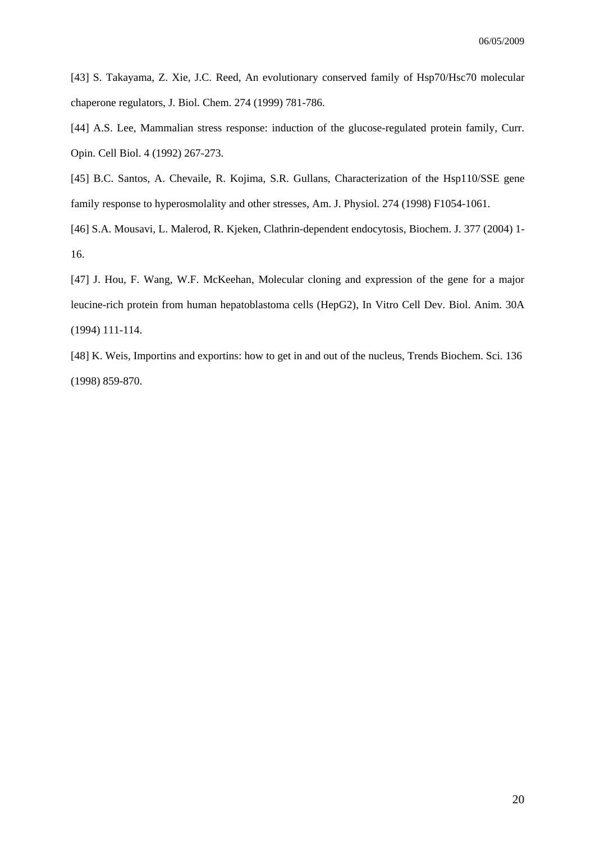[43] S. Takayama, Z. Xie, J.C. Reed, An evolutionary conserved family of Hsp70/Hsc70 molecular chaperone regulators, J. Biol. Chem. 274 (1999) 781-786.

[44] A.S. Lee, Mammalian stress response: induction of the glucose-regulated protein family, Curr. Opin. Cell Biol. 4 (1992) 267-273.

[45] B.C. Santos, A. Chevaile, R. Kojima, S.R. Gullans, Characterization of the Hsp110/SSE gene family response to hyperosmolality and other stresses, Am. J. Physiol. 274 (1998) F1054-1061.

[46] S.A. Mousavi, L. Malerod, R. Kjeken, Clathrin-dependent endocytosis, Biochem. J. 377 (2004) 1- 16.

[47] J. Hou, F. Wang, W.F. McKeehan, Molecular cloning and expression of the gene for a major leucine-rich protein from human hepatoblastoma cells (HepG2), In Vitro Cell Dev. Biol. Anim. 30A (1994) 111-114.

[48] K. Weis, Importins and exportins: how to get in and out of the nucleus, Trends Biochem. Sci. 136 (1998) 859-870.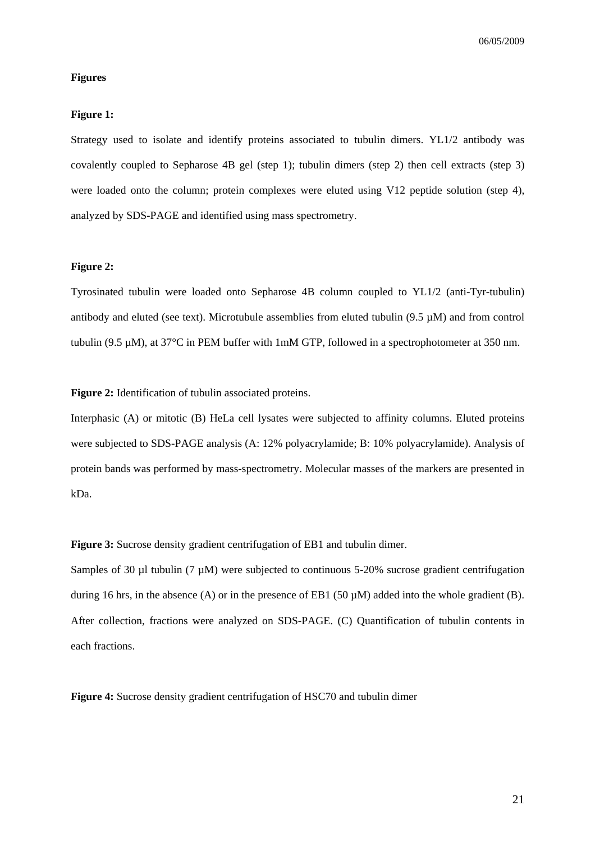#### **Figures**

#### **Figure 1:**

Strategy used to isolate and identify proteins associated to tubulin dimers. YL1/2 antibody was covalently coupled to Sepharose 4B gel (step 1); tubulin dimers (step 2) then cell extracts (step 3) were loaded onto the column; protein complexes were eluted using V12 peptide solution (step 4), analyzed by SDS-PAGE and identified using mass spectrometry.

#### **Figure 2:**

Tyrosinated tubulin were loaded onto Sepharose 4B column coupled to YL1/2 (anti-Tyr-tubulin) antibody and eluted (see text). Microtubule assemblies from eluted tubulin (9.5 µM) and from control tubulin (9.5 µM), at 37°C in PEM buffer with 1mM GTP, followed in a spectrophotometer at 350 nm.

Figure 2: Identification of tubulin associated proteins.

Interphasic (A) or mitotic (B) HeLa cell lysates were subjected to affinity columns. Eluted proteins were subjected to SDS-PAGE analysis (A: 12% polyacrylamide; B: 10% polyacrylamide). Analysis of protein bands was performed by mass-spectrometry. Molecular masses of the markers are presented in kDa.

**Figure 3:** Sucrose density gradient centrifugation of EB1 and tubulin dimer.

Samples of 30 µl tubulin (7 µM) were subjected to continuous 5-20% sucrose gradient centrifugation during 16 hrs, in the absence (A) or in the presence of EB1 (50  $\mu$ M) added into the whole gradient (B). After collection, fractions were analyzed on SDS-PAGE. (C) Quantification of tubulin contents in each fractions.

**Figure 4:** Sucrose density gradient centrifugation of HSC70 and tubulin dimer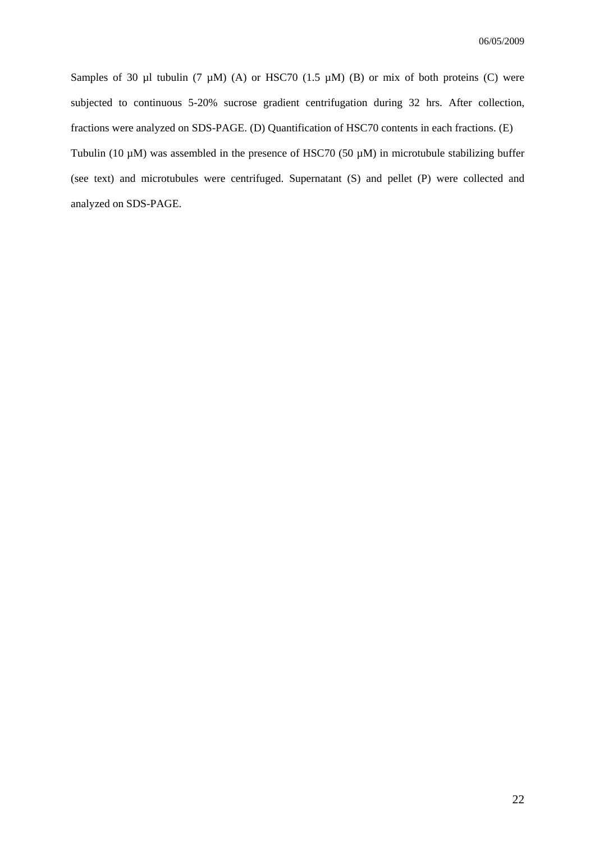Samples of 30 µl tubulin (7 µM) (A) or HSC70 (1.5 µM) (B) or mix of both proteins (C) were subjected to continuous 5-20% sucrose gradient centrifugation during 32 hrs. After collection, fractions were analyzed on SDS-PAGE. (D) Quantification of HSC70 contents in each fractions. (E) Tubulin (10  $\mu$ M) was assembled in the presence of HSC70 (50  $\mu$ M) in microtubule stabilizing buffer (see text) and microtubules were centrifuged. Supernatant (S) and pellet (P) were collected and analyzed on SDS-PAGE.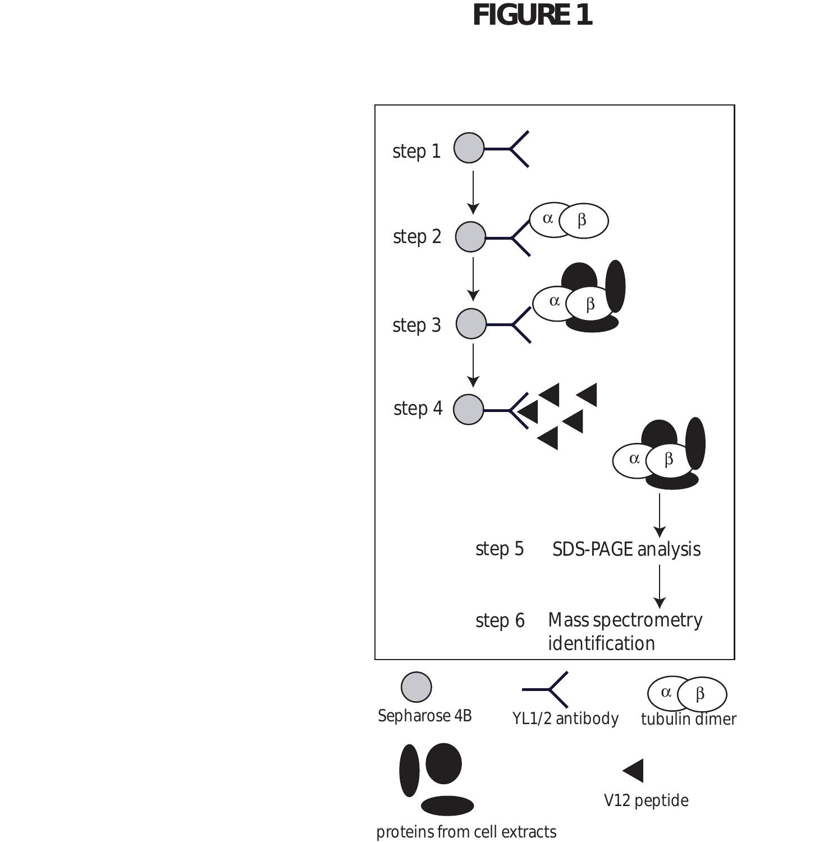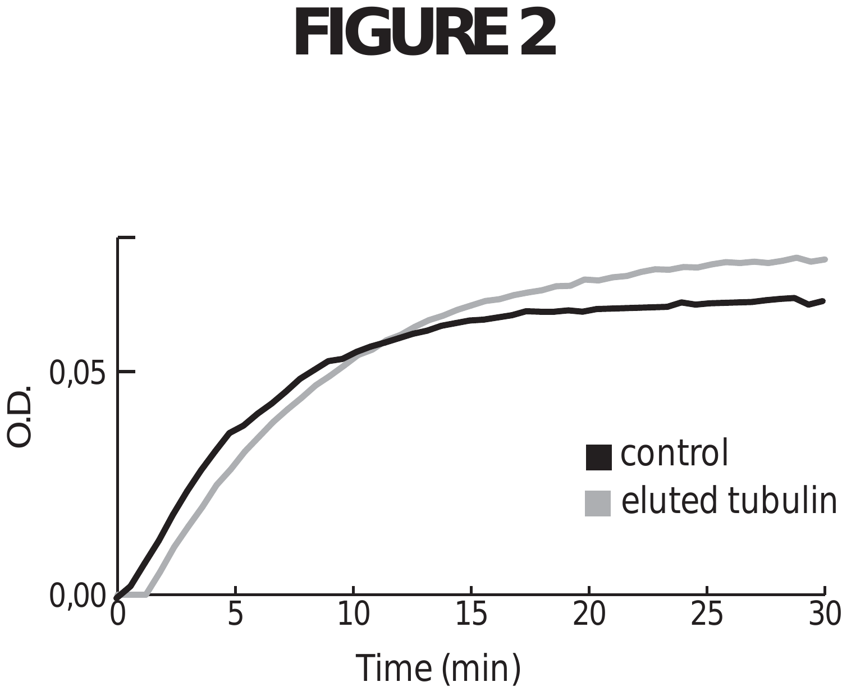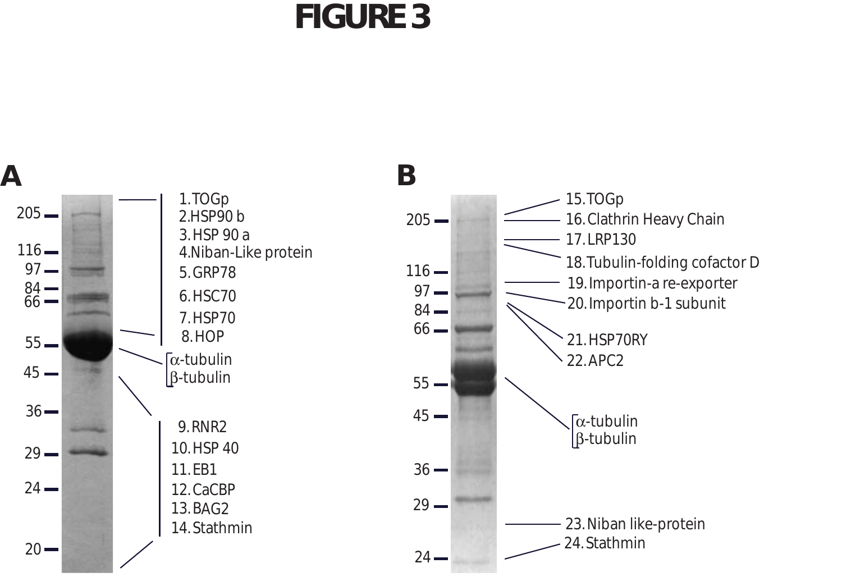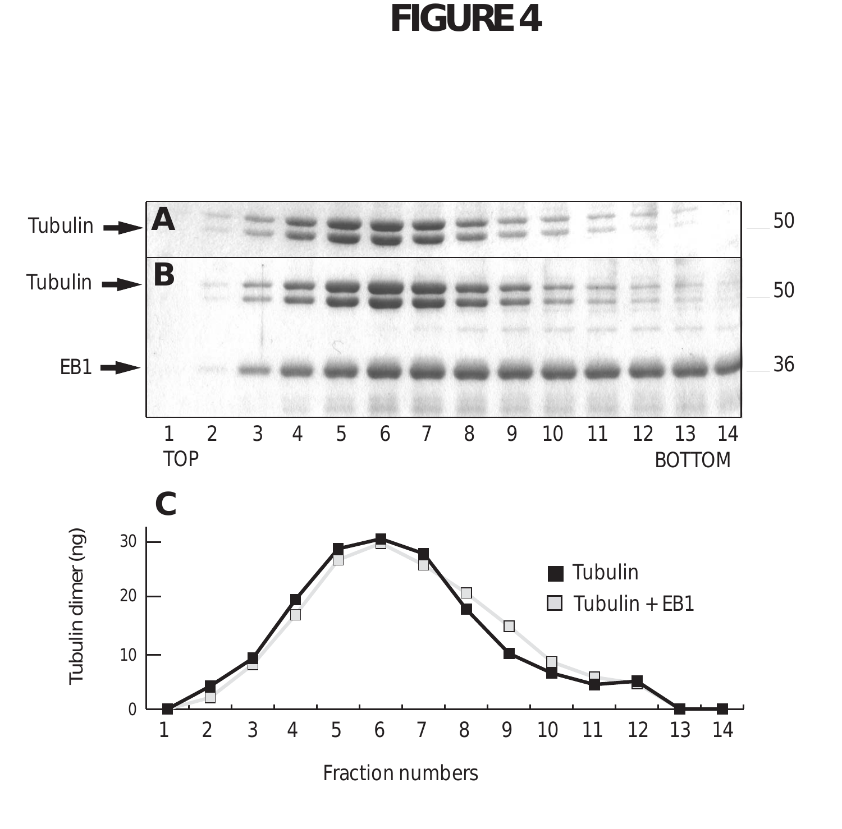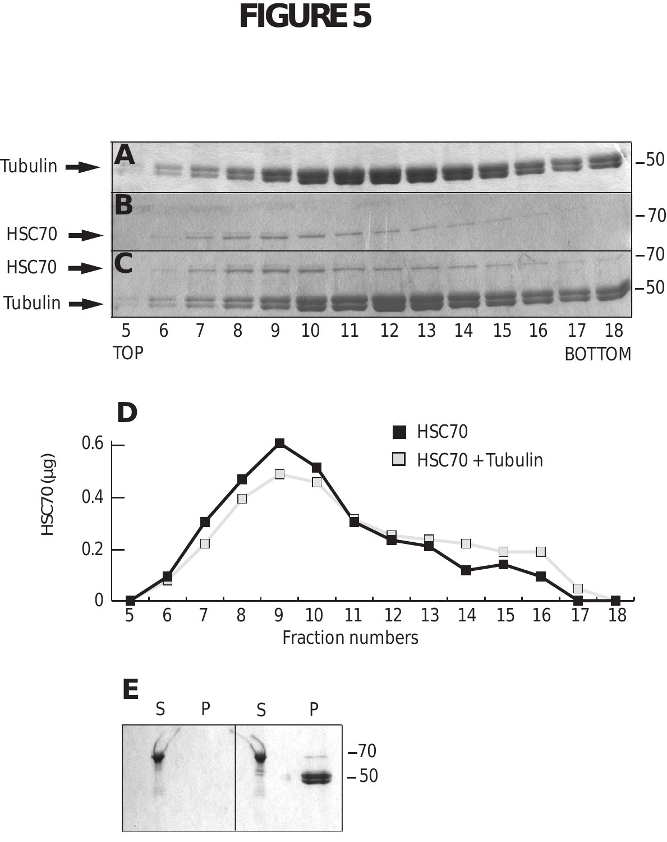

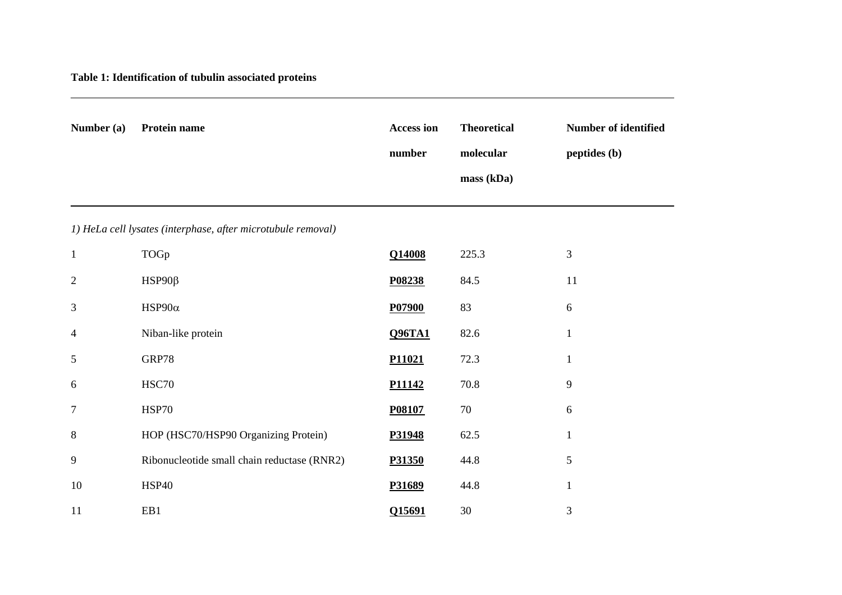### **Table 1: Identification of tubulin associated proteins**

| Number (a)     | Protein name                                                 | <b>Access ion</b> | <b>Theoretical</b> | Number of identified |
|----------------|--------------------------------------------------------------|-------------------|--------------------|----------------------|
|                |                                                              | number            | molecular          | peptides (b)         |
|                |                                                              |                   | mass (kDa)         |                      |
|                |                                                              |                   |                    |                      |
|                | 1) HeLa cell lysates (interphase, after microtubule removal) |                   |                    |                      |
| $\mathbf{1}$   | TOGp                                                         | Q14008            | 225.3              | $\mathfrak{Z}$       |
| $\overline{2}$ | $HSP90\beta$                                                 | P08238            | 84.5               | 11                   |
| 3              | HSP90 $\alpha$                                               | P07900            | 83                 | 6                    |
| $\overline{4}$ | Niban-like protein                                           | <b>Q96TA1</b>     | 82.6               | $\mathbf{1}$         |
| 5              | GRP78                                                        | P11021            | 72.3               | $\mathbf{1}$         |
| 6              | HSC70                                                        | P11142            | $70.8\,$           | 9                    |
| $\tau$         | <b>HSP70</b>                                                 | P08107            | 70                 | 6                    |
| 8              | HOP (HSC70/HSP90 Organizing Protein)                         | P31948            | 62.5               | $\mathbf{1}$         |
| 9              | Ribonucleotide small chain reductase (RNR2)                  | P31350            | 44.8               | $\mathfrak s$        |
| 10             | <b>HSP40</b>                                                 | P31689            | 44.8               | $\mathbf{1}$         |
| 11             | EB1                                                          | Q15691            | $30\,$             | $\mathfrak{Z}$       |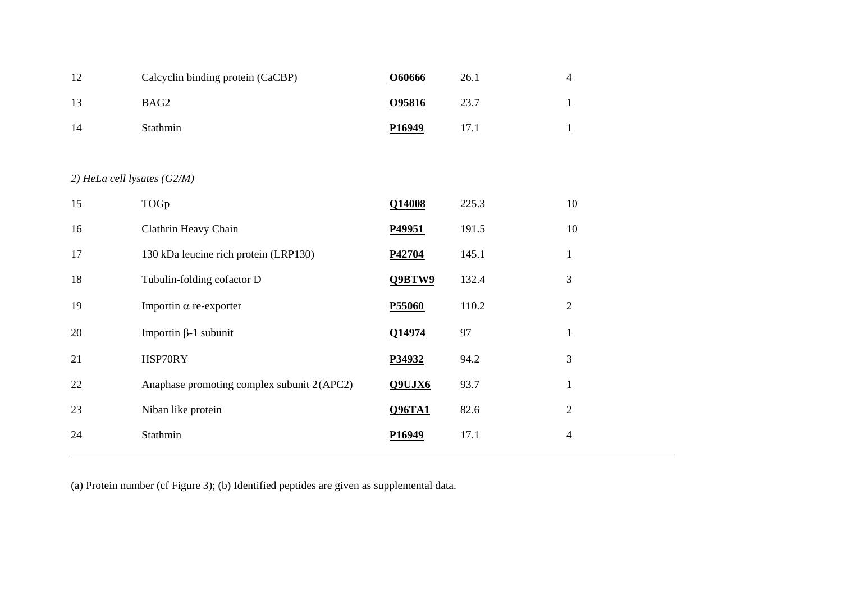| 1٦ | Calcyclin binding protein (CaCBP) | 060666 | 26.1 |  |
|----|-----------------------------------|--------|------|--|
|    | BAG2                              | O95816 | 23.7 |  |
| 14 | <b>Stathmin</b>                   | P16949 |      |  |

### *2) HeLa cell lysates (G2/M)*

| 15 | TOGp                                       | Q14008        | 225.3 | 10             |
|----|--------------------------------------------|---------------|-------|----------------|
| 16 | Clathrin Heavy Chain                       | P49951        | 191.5 | 10             |
| 17 | 130 kDa leucine rich protein (LRP130)      | P42704        | 145.1 | $\mathbf{I}$   |
| 18 | Tubulin-folding cofactor D                 | Q9BTW9        | 132.4 | 3              |
| 19 | Importin $\alpha$ re-exporter              | P55060        | 110.2 | $\overline{2}$ |
| 20 | Importin β-1 subunit                       | Q14974        | 97    | 1              |
| 21 | HSP70RY                                    | P34932        | 94.2  | 3              |
| 22 | Anaphase promoting complex subunit 2(APC2) | Q9UJX6        | 93.7  |                |
| 23 | Niban like protein                         | <b>Q96TA1</b> | 82.6  | $\overline{2}$ |
| 24 | Stathmin                                   | P16949        | 17.1  | 4              |
|    |                                            |               |       |                |

(a) Protein number (cf Figure 3); (b) Identified peptides are given as supplemental data.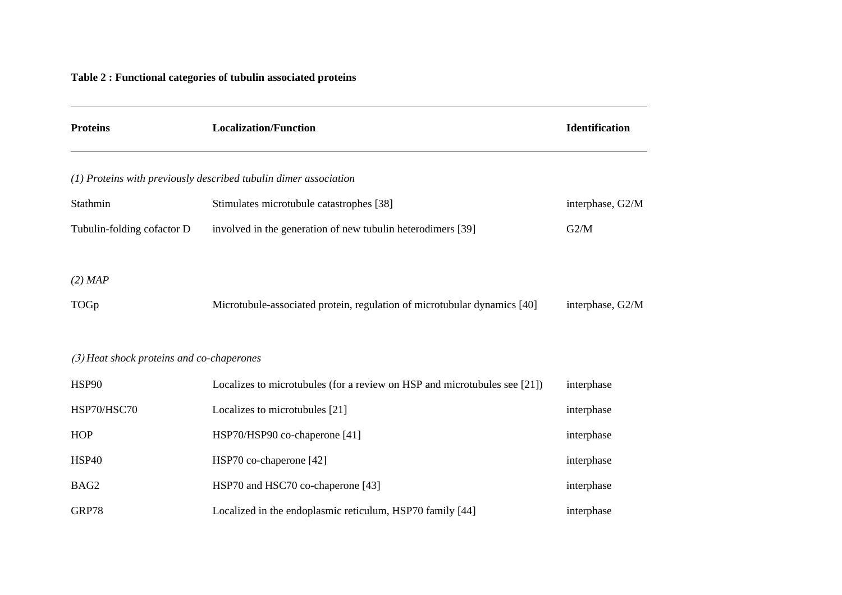### **Table 2 : Functional categories of tubulin associated proteins**

| <b>Proteins</b>                           | <b>Localization/Function</b>                                              | Identification   |
|-------------------------------------------|---------------------------------------------------------------------------|------------------|
|                                           | (1) Proteins with previously described tubulin dimer association          |                  |
| Stathmin                                  | Stimulates microtubule catastrophes [38]                                  | interphase, G2/M |
| Tubulin-folding cofactor D                | involved in the generation of new tubulin heterodimers [39]               | G2/M             |
| $(2)$ MAP                                 |                                                                           |                  |
| TOGp                                      | Microtubule-associated protein, regulation of microtubular dynamics [40]  | interphase, G2/M |
| (3) Heat shock proteins and co-chaperones |                                                                           |                  |
| <b>HSP90</b>                              | Localizes to microtubules (for a review on HSP and microtubules see [21]) | interphase       |
| HSP70/HSC70                               | Localizes to microtubules [21]                                            | interphase       |
| <b>HOP</b>                                | HSP70/HSP90 co-chaperone [41]                                             | interphase       |
| <b>HSP40</b>                              | HSP70 co-chaperone [42]                                                   | interphase       |
| BAG2                                      | HSP70 and HSC70 co-chaperone [43]                                         | interphase       |
| GRP78                                     | Localized in the endoplasmic reticulum, HSP70 family [44]                 | interphase       |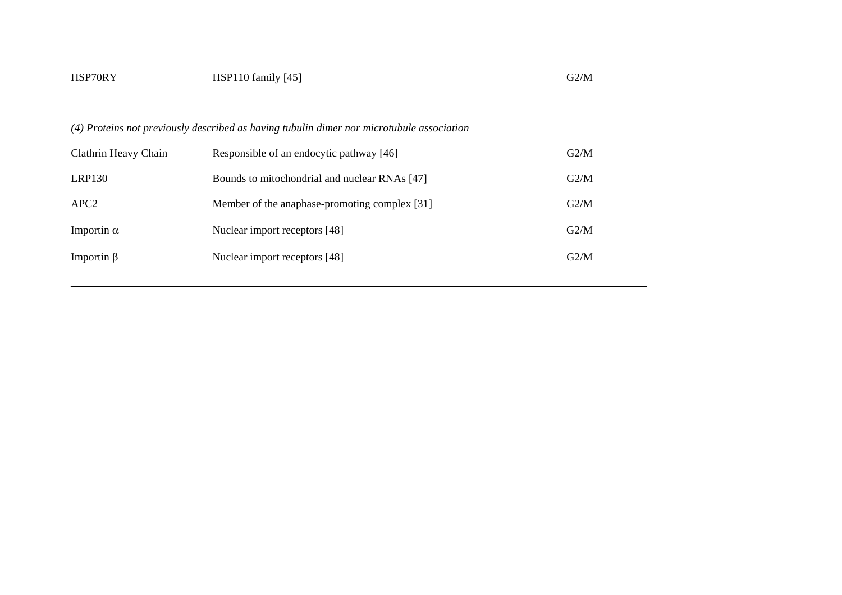| HSP70RY              | $HSP110$ family $[45]$                                                                    | G2/M |
|----------------------|-------------------------------------------------------------------------------------------|------|
|                      | (4) Proteins not previously described as having tubulin dimer nor microtubule association |      |
| Clathrin Heavy Chain | Responsible of an endocytic pathway [46]                                                  | G2/M |
| <b>LRP130</b>        | Bounds to mitochondrial and nuclear RNAs [47]                                             | G2/M |
| APC <sub>2</sub>     | Member of the anaphase-promoting complex [31]                                             | G2/M |
| Importin $\alpha$    | Nuclear import receptors [48]                                                             | G2/M |
| Importin $\beta$     | Nuclear import receptors [48]                                                             | G2/M |
|                      |                                                                                           |      |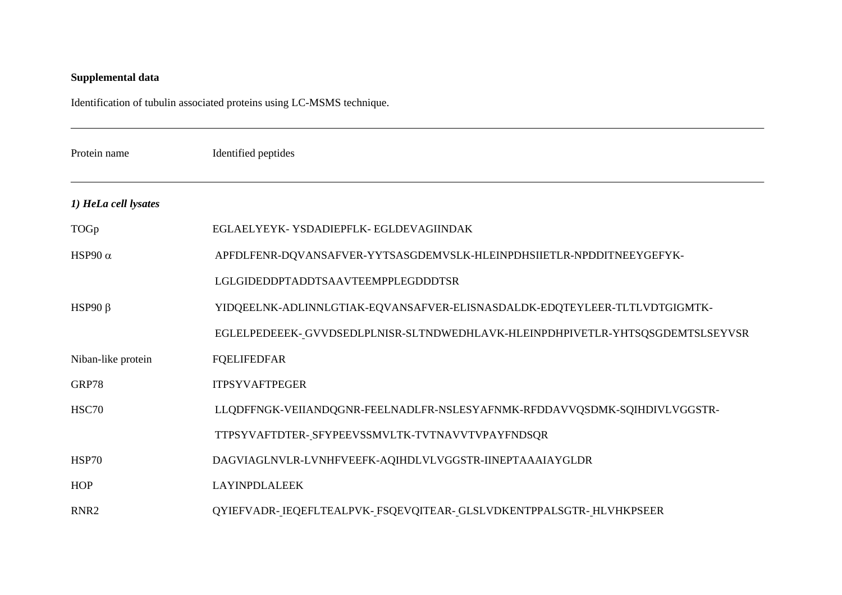### **Supplemental data**

Identification of tubulin associated proteins using LC-MSMS technique.

| Protein name         | Identified peptides                                                           |
|----------------------|-------------------------------------------------------------------------------|
| 1) HeLa cell lysates |                                                                               |
| TOGp                 | EGLAELYEYK-YSDADIEPFLK-EGLDEVAGIINDAK                                         |
| HSP90 $\alpha$       | APFDLFENR-DQVANSAFVER-YYTSASGDEMVSLK-HLEINPDHSIIETLR-NPDDITNEEYGEFYK-         |
|                      | LGLGIDEDDPTADDTSAAVTEEMPPLEGDDDTSR                                            |
| HSP90 $\beta$        | YIDQEELNK-ADLINNLGTIAK-EQVANSAFVER-ELISNASDALDK-EDQTEYLEER-TLTLVDTGIGMTK-     |
|                      | EGLELPEDEEEK-GVVDSEDLPLNISR-SLTNDWEDHLAVK-HLEINPDHPIVETLR-YHTSQSGDEMTSLSEYVSR |
| Niban-like protein   | <b>FQELIFEDFAR</b>                                                            |
| GRP78                | <b>ITPSYVAFTPEGER</b>                                                         |
| HSC70                | LLQDFFNGK-VEIIANDQGNR-FEELNADLFR-NSLESYAFNMK-RFDDAVVQSDMK-SQIHDIVLVGGSTR-     |
|                      | TTPSYVAFTDTER-SFYPEEVSSMVLTK-TVTNAVVTVPAYFNDSQR                               |
| <b>HSP70</b>         | DAGVIAGLNVLR-LVNHFVEEFK-AQIHDLVLVGGSTR-IINEPTAAAIAYGLDR                       |
| <b>HOP</b>           | <b>LAYINPDLALEEK</b>                                                          |
| RNR <sub>2</sub>     | QYIEFVADR-IEQEFLTEALPVK-FSQEVQITEAR-GLSLVDKENTPPALSGTR-HLVHKPSEER             |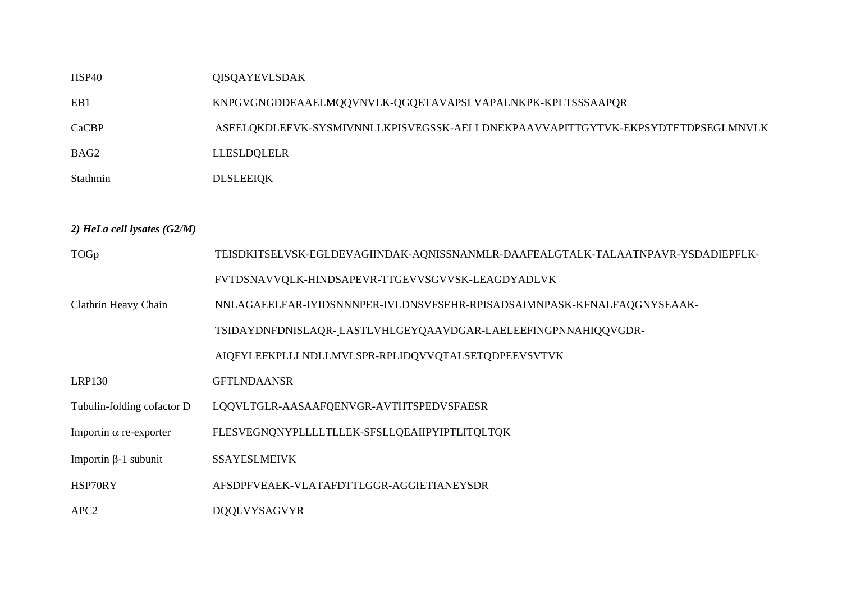### HSP40 QISQAYEVLSDAK

EB1 KNPGVGNGDDEAAELMQQVNVLK-QGQETAVAPSLVAPALNKPK-KPLTSSSAAPQR

CaCBP ASEELQKDLEEVK-SYSMIVNNLLKPISVEGSSK-AELLDNEKPAAVVAPITTGYTVK-EKPSYDTETDPSEGLMNVLK

- BAG2 LLESLDQLELR
- Stathmin DLSLEEIQK

#### *2) HeLa cell lysates (G2/M)*

| TOGp                          | TEISDKITSELVSK-EGLDEVAGIINDAK-AQNISSNANMLR-DAAFEALGTALK-TALAATNPAVR-YSDADIEPFLK- |
|-------------------------------|----------------------------------------------------------------------------------|
|                               | FVTDSNAVVQLK-HINDSAPEVR-TTGEVVSGVVSK-LEAGDYADLVK                                 |
| Clathrin Heavy Chain          | NNLAGAEELFAR-IYIDSNNNPER-IVLDNSVFSEHR-RPISADSAIMNPASK-KFNALFAQGNYSEAAK-          |
|                               | TSIDAYDNFDNISLAQR-LASTLVHLGEYQAAVDGAR-LAELEEFINGPNNAHIQQVGDR-                    |
|                               | AIQFYLEFKPLLLNDLLMVLSPR-RPLIDQVVQTALSETQDPEEVSVTVK                               |
| LRP130                        | <b>GFTLNDAANSR</b>                                                               |
| Tubulin-folding cofactor D    | LQQVLTGLR-AASAAFQENVGR-AVTHTSPEDVSFAESR                                          |
| Importin $\alpha$ re-exporter | FLESVEGNONYPLLLLTLLEK-SFSLLOEAIIPYIPTLITOLTOK                                    |
| Importin β-1 subunit          | <b>SSAYESLMEIVK</b>                                                              |
| HSP70RY                       | AFSDPFVEAEK-VLATAFDTTLGGR-AGGIETIANEYSDR                                         |
| APC <sub>2</sub>              | <b>DOOLVYSAGVYR</b>                                                              |